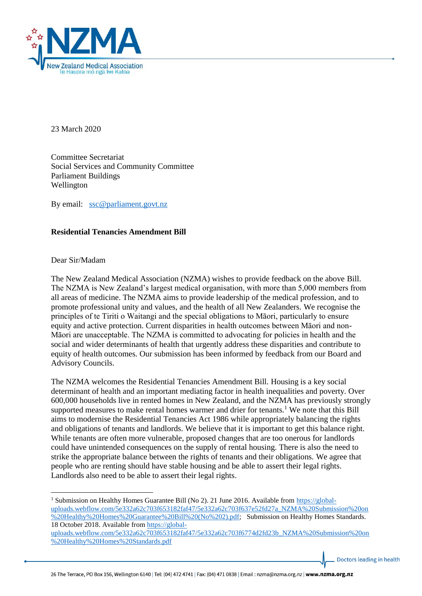

23 March 2020

Committee Secretariat Social Services and Community Committee Parliament Buildings Wellington

By email: [ssc@parliament.govt.nz](mailto:ssc@parliament.govt.nz)

## **Residential Tenancies Amendment Bill**

Dear Sir/Madam

**.** 

The New Zealand Medical Association (NZMA) wishes to provide feedback on the above Bill. The NZMA is New Zealand's largest medical organisation, with more than 5,000 members from all areas of medicine. The NZMA aims to provide leadership of the medical profession, and to promote professional unity and values, and the health of all New Zealanders. We recognise the principles of te Tiriti o Waitangi and the special obligations to Māori, particularly to ensure equity and active protection. Current disparities in health outcomes between Māori and non-Māori are unacceptable. The NZMA is committed to advocating for policies in health and the social and wider determinants of health that urgently address these disparities and contribute to equity of health outcomes. Our submission has been informed by feedback from our Board and Advisory Councils.

The NZMA welcomes the Residential Tenancies Amendment Bill. Housing is a key social determinant of health and an important mediating factor in health inequalities and poverty. Over 600,000 households live in rented homes in New Zealand, and the NZMA has previously strongly supported measures to make rental homes warmer and drier for tenants.<sup>1</sup> We note that this Bill aims to modernise the Residential Tenancies Act 1986 while appropriately balancing the rights and obligations of tenants and landlords. We believe that it is important to get this balance right. While tenants are often more vulnerable, proposed changes that are too onerous for landlords could have unintended consequences on the supply of rental housing. There is also the need to strike the appropriate balance between the rights of tenants and their obligations. We agree that people who are renting should have stable housing and be able to assert their legal rights. Landlords also need to be able to assert their legal rights.

<sup>&</sup>lt;sup>1</sup> Submission on Healthy Homes Guarantee Bill (No 2). 21 June 2016. Available from [https://global](https://global-uploads.webflow.com/5e332a62c703f653182faf47/5e332a62c703f637e52fd27a_NZMA%20Submission%20on%20Healthy%20Homes%20Guarantee%20Bill%20(No%202).pdf)[uploads.webflow.com/5e332a62c703f653182faf47/5e332a62c703f637e52fd27a\\_NZMA%20Submission%20on](https://global-uploads.webflow.com/5e332a62c703f653182faf47/5e332a62c703f637e52fd27a_NZMA%20Submission%20on%20Healthy%20Homes%20Guarantee%20Bill%20(No%202).pdf) [%20Healthy%20Homes%20Guarantee%20Bill%20\(No%202\).pdf;](https://global-uploads.webflow.com/5e332a62c703f653182faf47/5e332a62c703f637e52fd27a_NZMA%20Submission%20on%20Healthy%20Homes%20Guarantee%20Bill%20(No%202).pdf) Submission on Healthy Homes Standards. 18 October 2018. Available from [https://global-](https://global-uploads.webflow.com/5e332a62c703f653182faf47/5e332a62c703f6774d2fd23b_NZMA%20Submission%20on%20Healthy%20Homes%20Standards.pdf)

[uploads.webflow.com/5e332a62c703f653182faf47/5e332a62c703f6774d2fd23b\\_NZMA%20Submission%20on](https://global-uploads.webflow.com/5e332a62c703f653182faf47/5e332a62c703f6774d2fd23b_NZMA%20Submission%20on%20Healthy%20Homes%20Standards.pdf) [%20Healthy%20Homes%20Standards.pdf](https://global-uploads.webflow.com/5e332a62c703f653182faf47/5e332a62c703f6774d2fd23b_NZMA%20Submission%20on%20Healthy%20Homes%20Standards.pdf)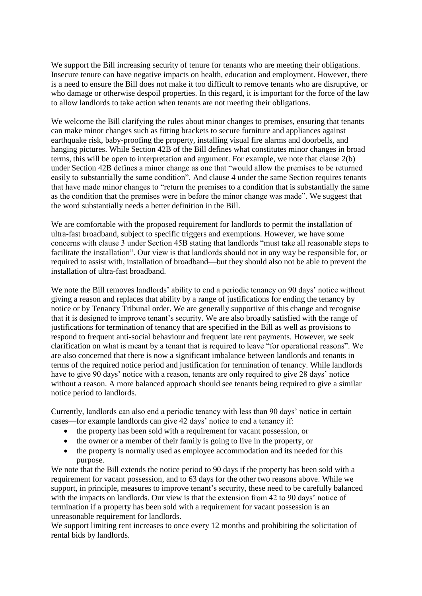We support the Bill increasing security of tenure for tenants who are meeting their obligations. Insecure tenure can have negative impacts on health, education and employment. However, there is a need to ensure the Bill does not make it too difficult to remove tenants who are disruptive, or who damage or otherwise despoil properties. In this regard, it is important for the force of the law to allow landlords to take action when tenants are not meeting their obligations.

We welcome the Bill clarifying the rules about minor changes to premises, ensuring that tenants can make minor changes such as fitting brackets to secure furniture and appliances against earthquake risk, baby-proofing the property, installing visual fire alarms and doorbells, and hanging pictures. While Section 42B of the Bill defines what constitutes minor changes in broad terms, this will be open to interpretation and argument. For example, we note that clause 2(b) under Section 42B defines a minor change as one that "would allow the premises to be returned easily to substantially the same condition". And clause 4 under the same Section requires tenants that have made minor changes to "return the premises to a condition that is substantially the same as the condition that the premises were in before the minor change was made". We suggest that the word substantially needs a better definition in the Bill.

We are comfortable with the proposed requirement for landlords to permit the installation of ultra-fast broadband, subject to specific triggers and exemptions. However, we have some concerns with clause 3 under Section 45B stating that landlords "must take all reasonable steps to facilitate the installation". Our view is that landlords should not in any way be responsible for, or required to assist with, installation of broadband—but they should also not be able to prevent the installation of ultra-fast broadband.

We note the Bill removes landlords' ability to end a periodic tenancy on 90 days' notice without giving a reason and replaces that ability by a range of justifications for ending the tenancy by notice or by Tenancy Tribunal order. We are generally supportive of this change and recognise that it is designed to improve tenant's security. We are also broadly satisfied with the range of justifications for termination of tenancy that are specified in the Bill as well as provisions to respond to frequent anti-social behaviour and frequent late rent payments. However, we seek clarification on what is meant by a tenant that is required to leave "for operational reasons". We are also concerned that there is now a significant imbalance between landlords and tenants in terms of the required notice period and justification for termination of tenancy. While landlords have to give 90 days' notice with a reason, tenants are only required to give 28 days' notice without a reason. A more balanced approach should see tenants being required to give a similar notice period to landlords.

Currently, landlords can also end a periodic tenancy with less than 90 days' notice in certain cases—for example landlords can give 42 days' notice to end a tenancy if:

- the property has been sold with a requirement for vacant possession, or
- the owner or a member of their family is going to live in the property, or
- the property is normally used as employee accommodation and its needed for this purpose.

We note that the Bill extends the notice period to 90 days if the property has been sold with a requirement for vacant possession, and to 63 days for the other two reasons above. While we support, in principle, measures to improve tenant's security, these need to be carefully balanced with the impacts on landlords. Our view is that the extension from 42 to 90 days' notice of termination if a property has been sold with a requirement for vacant possession is an unreasonable requirement for landlords.

We support limiting rent increases to once every 12 months and prohibiting the solicitation of rental bids by landlords.